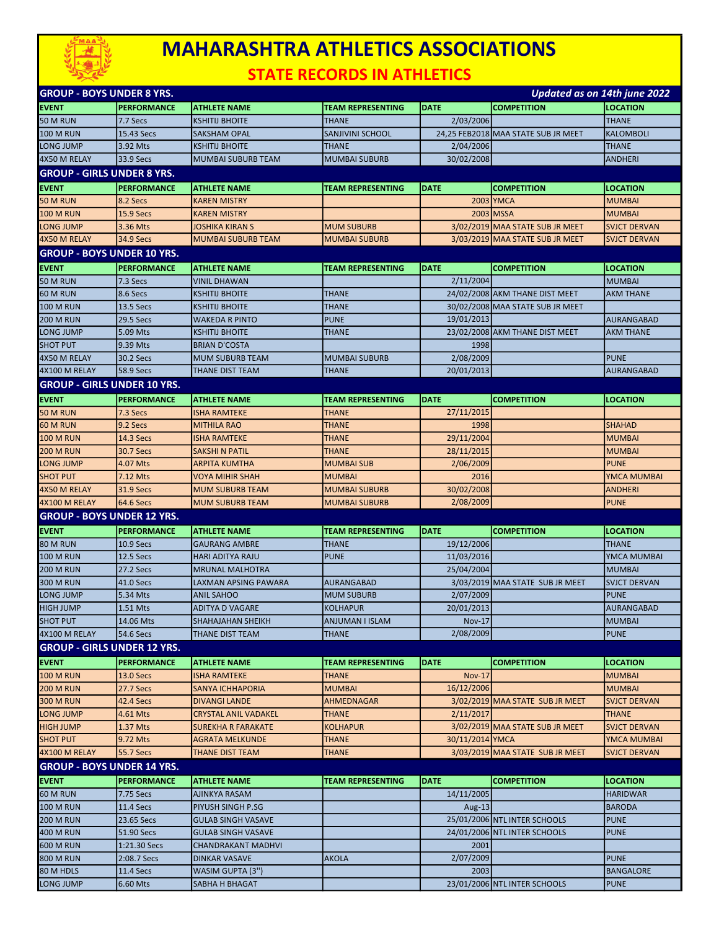

## MAHARASHTRA ATHLETICS ASSOCIATIONS

STATE RECORDS IN ATHLETICS

| <b>GROUP - BOYS UNDER 8 YRS.</b>   |                               |                                                |                          |                   | Updated as on 14th june 2022        |                                 |
|------------------------------------|-------------------------------|------------------------------------------------|--------------------------|-------------------|-------------------------------------|---------------------------------|
| EVENT                              | <b>PERFORMANCE</b>            | <b>ATHLETE NAME</b>                            | <b>TEAM REPRESENTING</b> | <b>DATE</b>       | <b>COMPETITION</b>                  | <b>LOCATION</b>                 |
| <b>50 M RUN</b>                    | 7.7 Secs                      | <b>KSHITIJ BHOITE</b>                          | <b>THANE</b>             | 2/03/2006         |                                     | <b>THANE</b>                    |
| <b>100 M RUN</b>                   | 15.43 Secs                    | <b>SAKSHAM OPAL</b>                            | <b>SANJIVINI SCHOOL</b>  |                   | 24,25 FEB2018 MAA STATE SUB JR MEET | <b>KALOMBOLI</b>                |
| LONG JUMP                          | 3.92 Mts                      | <b>KSHITIJ BHOITE</b>                          | <b>THANE</b>             | 2/04/2006         |                                     | <b>THANE</b>                    |
| 4X50 M RELAY                       | 33.9 Secs                     | MUMBAI SUBURB TEAM                             | <b>MUMBAI SUBURB</b>     | 30/02/2008        |                                     | <b>ANDHERI</b>                  |
| <b>GROUP - GIRLS UNDER 8 YRS.</b>  |                               |                                                |                          |                   |                                     |                                 |
| <b>EVENT</b>                       | <b>PERFORMANCE</b>            | <b>ATHLETE NAME</b>                            | <b>TEAM REPRESENTING</b> | <b>DATE</b>       | <b>COMPETITION</b>                  | <b>LOCATION</b>                 |
| 50 M RUN                           | 8.2 Secs                      | <b>KAREN MISTRY</b>                            |                          |                   | 2003 YMCA                           | <b>MUMBAI</b>                   |
| <b>100 M RUN</b>                   | <b>15.9 Secs</b>              | <b>KAREN MISTRY</b>                            |                          |                   | 2003 MSSA                           | <b>MUMBAI</b>                   |
| LONG JUMP                          | 3.36 Mts                      | JOSHIKA KIRAN S                                | <b>MUM SUBURB</b>        |                   | 3/02/2019 MAA STATE SUB JR MEET     | <b>SVJCT DERVAN</b>             |
| 4X50 M RELAY                       | 34.9 Secs                     | <b>MUMBAI SUBURB TEAM</b>                      | <b>MUMBAI SUBURB</b>     |                   | 3/03/2019 MAA STATE SUB JR MEET     | <b>SVJCT DERVAN</b>             |
| <b>GROUP - BOYS UNDER 10 YRS.</b>  |                               |                                                |                          |                   |                                     |                                 |
|                                    |                               |                                                |                          |                   |                                     |                                 |
| <b>EVENT</b>                       | <b>PERFORMANCE</b>            | <b>ATHLETE NAME</b>                            | <b>TEAM REPRESENTING</b> | <b>DATE</b>       | <b>COMPETITION</b>                  | <b>LOCATION</b>                 |
| 50 M RUN                           | 7.3 Secs                      | <b>VINIL DHAWAN</b>                            | <b>THANE</b>             | 2/11/2004         |                                     | <b>MUMBAI</b>                   |
| 60 M RUN                           | 8.6 Secs                      | <b>KSHITIJ BHOITE</b>                          |                          |                   | 24/02/2008 AKM THANE DIST MEET      | <b>AKM THANE</b>                |
| <b>100 M RUN</b>                   | 13.5 Secs<br><b>29.5 Secs</b> | <b>KSHITIJ BHOITE</b><br><b>WAKEDA R PINTO</b> | <b>THANE</b>             |                   | 30/02/2008 MAA STATE SUB JR MEET    | <b>AURANGABAD</b>               |
| <b>200 M RUN</b>                   |                               |                                                | <b>PUNE</b>              | 19/01/2013        |                                     |                                 |
| LONG JUMP                          | 5.09 Mts                      | <b>KSHITIJ BHOITE</b>                          | <b>THANE</b>             | 1998              | 23/02/2008 AKM THANE DIST MEET      | <b>AKM THANE</b>                |
| <b>SHOT PUT</b>                    | 9.39 Mts                      | <b>BRIAN D'COSTA</b>                           |                          |                   |                                     |                                 |
| 4X50 M RELAY                       | 30.2 Secs                     | <b>MUM SUBURB TEAM</b>                         | <b>MUMBAI SUBURB</b>     | 2/08/2009         |                                     | <b>PUNE</b>                     |
| 4X100 M RELAY                      | <b>58.9 Secs</b>              | <b>THANE DIST TEAM</b>                         | <b>THANE</b>             | 20/01/2013        |                                     | <b>AURANGABAD</b>               |
| <b>GROUP - GIRLS UNDER 10 YRS.</b> |                               |                                                |                          |                   |                                     |                                 |
| <b>EVENT</b>                       | PERFORMANCE                   | <b>ATHLETE NAME</b>                            | <b>TEAM REPRESENTING</b> | <b>DATE</b>       | <b>COMPETITION</b>                  | <b>LOCATION</b>                 |
| 50 M RUN                           | 7.3 Secs                      | <b>ISHA RAMTEKE</b>                            | <b>THANE</b>             | 27/11/2015        |                                     |                                 |
| 60 M RUN                           | 9.2 Secs                      | <b>MITHILA RAO</b>                             | <b>THANE</b>             | 1998              |                                     | <b>SHAHAD</b>                   |
| <b>100 M RUN</b>                   | <b>14.3 Secs</b>              | <b>ISHA RAMTEKE</b>                            | <b>THANE</b>             | 29/11/2004        |                                     | <b>MUMBAI</b>                   |
| 200 M RUN                          | 30.7 Secs                     | <b>SAKSHI N PATIL</b>                          | <b>THANE</b>             | 28/11/2015        |                                     | <b>MUMBAI</b>                   |
| LONG JUMP                          | 4.07 Mts                      | <b>ARPITA KUMTHA</b>                           | <b>MUMBAI SUB</b>        | 2/06/2009         |                                     | <b>PUNE</b>                     |
| <b>SHOT PUT</b>                    | 7.12 Mts                      | <b>VOYA MIHIR SHAH</b>                         | <b>MUMBAI</b>            | 2016              |                                     | YMCA MUMBAI                     |
|                                    |                               |                                                |                          |                   |                                     |                                 |
| 4X50 M RELAY                       | <b>31.9 Secs</b>              | <b>MUM SUBURB TEAM</b>                         | <b>MUMBAI SUBURB</b>     | 30/02/2008        |                                     | <b>ANDHERI</b>                  |
| 4X100 M RELAY                      | <b>64.6 Secs</b>              | <b>MUM SUBURB TEAM</b>                         | <b>MUMBAI SUBURB</b>     | 2/08/2009         |                                     | <b>PUNE</b>                     |
| <b>GROUP - BOYS UNDER 12 YRS.</b>  |                               |                                                |                          |                   |                                     |                                 |
| <b>EVENT</b>                       | <b>PERFORMANCE</b>            | <b>ATHLETE NAME</b>                            | <b>TEAM REPRESENTING</b> | <b>DATE</b>       | <b>COMPETITION</b>                  | <b>LOCATION</b>                 |
| <b>80 M RUN</b>                    | <b>10.9 Secs</b>              | <b>GAURANG AMBRE</b>                           | <b>THANE</b>             | 19/12/2006        |                                     | <b>THANE</b>                    |
| <b>100 M RUN</b>                   | 12.5 Secs                     | <b>HARI ADITYA RAJU</b>                        | <b>PUNE</b>              | 11/03/2016        |                                     | YMCA MUMBAI                     |
| <b>200 M RUN</b>                   | 27.2 Secs                     | <b>MRUNAL MALHOTRA</b>                         |                          | 25/04/2004        |                                     | <b>MUMBAI</b>                   |
| 300 M RUN                          | <b>41.0 Secs</b>              | <b>LAXMAN APSING PAWARA</b>                    | <b>AURANGABAD</b>        |                   | 3/03/2019 MAA STATE SUB JR MEET     | <b>SVJCT DERVAN</b>             |
| LONG JUMP                          | 5.34 Mts                      | <b>ANIL SAHOO</b>                              | <b>MUM SUBURB</b>        | 2/07/2009         |                                     | <b>PUNE</b>                     |
| HIGH JUMP                          | 1.51 Mts                      | <b>ADITYA D VAGARE</b>                         | <b>KOLHAPUR</b>          | 20/01/2013        |                                     | AURANGABAD                      |
| <b>SHOT PUT</b>                    | 14.06 Mts                     | <b>SHAHAJAHAN SHEIKH</b>                       | ANJUMAN I ISLAM          | Nov-17            |                                     | MUMBAI                          |
| 4X100 M RELAY                      | 54.6 Secs                     | THANE DIST TEAM                                | <b>THANE</b>             | 2/08/2009         |                                     | <b>PUNE</b>                     |
| <b>GROUP - GIRLS UNDER 12 YRS.</b> |                               |                                                |                          |                   |                                     |                                 |
| <b>EVENT</b>                       | <b>PERFORMANCE</b>            | <b>ATHLETE NAME</b>                            | <b>TEAM REPRESENTING</b> | <b>DATE</b>       | <b>COMPETITION</b>                  | <b>LOCATION</b>                 |
| <b>100 M RUN</b>                   | <b>13.0 Secs</b>              | <b>ISHA RAMTEKE</b>                            | <b>THANE</b>             | <b>Nov-17</b>     |                                     | <b>MUMBAI</b>                   |
| <b>200 M RUN</b>                   | <b>27.7 Secs</b>              | <b>SANYA ICHHAPORIA</b>                        | <b>MUMBAI</b>            | 16/12/2006        |                                     | <b>MUMBAI</b>                   |
| 300 M RUN                          | 42.4 Secs                     | <b>DIVANGI LANDE</b>                           | <b>AHMEDNAGAR</b>        |                   | 3/02/2019 MAA STATE SUB JR MEET     | <b>SVJCT DERVAN</b>             |
| LONG JUMP                          | 4.61 Mts                      | <b>CRYSTAL ANIL VADAKEL</b>                    | THANE                    | 2/11/2017         |                                     | <b>THANE</b>                    |
| <b>HIGH JUMP</b>                   | 1.37 Mts                      | <b>SUREKHA R FARAKATE</b>                      | <b>KOLHAPUR</b>          |                   | 3/02/2019 MAA STATE SUB JR MEET     | <b>SVJCT DERVAN</b>             |
| <b>SHOT PUT</b>                    | 9.72 Mts                      | <b>AGRATA MELKUNDE</b>                         | <b>THANE</b>             | 30/11/2014 YMCA   |                                     | YMCA MUMBAI                     |
| 4X100 M RELAY                      | 55.7 Secs                     | <b>THANE DIST TEAM</b>                         | <b>THANE</b>             |                   | 3/03/2019 MAA STATE SUB JR MEET     | <b>SVJCT DERVAN</b>             |
|                                    |                               |                                                |                          |                   |                                     |                                 |
| <b>GROUP - BOYS UNDER 14 YRS.</b>  |                               |                                                |                          |                   |                                     |                                 |
| <b>EVENT</b>                       | <b>PERFORMANCE</b>            | <b>ATHLETE NAME</b>                            | TEAM REPRESENTING        | <b>DATE</b>       | <b>COMPETITION</b>                  | <b>LOCATION</b>                 |
| 60 M RUN                           | 7.75 Secs                     | <b>AJINKYA RASAM</b>                           |                          | 14/11/2005        |                                     | <b>HARIDWAR</b>                 |
| <b>100 M RUN</b>                   | 11.4 Secs                     | PIYUSH SINGH P.SG                              |                          | Aug-13            |                                     | <b>BARODA</b>                   |
| <b>200 M RUN</b>                   | 23.65 Secs                    | <b>GULAB SINGH VASAVE</b>                      |                          |                   | 25/01/2006 NTL INTER SCHOOLS        | <b>PUNE</b>                     |
| 400 M RUN                          | 51.90 Secs                    | <b>GULAB SINGH VASAVE</b>                      |                          |                   | 24/01/2006 NTL INTER SCHOOLS        | <b>PUNE</b>                     |
| <b>600 M RUN</b>                   | 1:21.30 Secs                  | <b>CHANDRAKANT MADHVI</b>                      |                          | 2001              |                                     |                                 |
| <b>800 M RUN</b><br>80 M HDLS      | 2:08.7 Secs<br>11.4 Secs      | <b>DINKAR VASAVE</b><br>WASIM GUPTA (3")       | <b>AKOLA</b>             | 2/07/2009<br>2003 |                                     | <b>PUNE</b><br><b>BANGALORE</b> |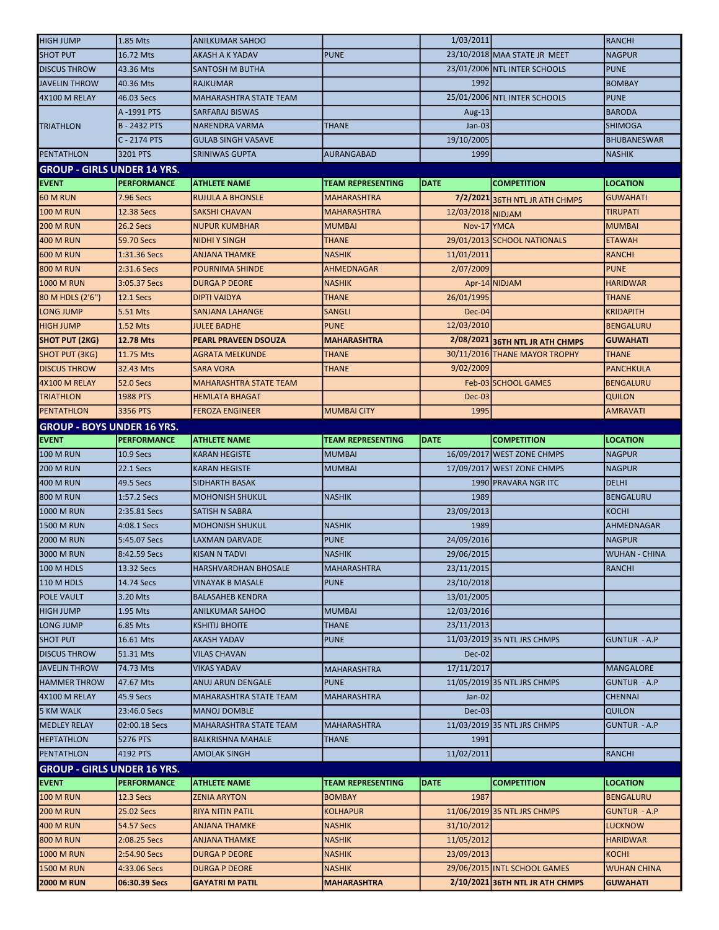| <b>HIGH JUMP</b>                                  | 1.85 Mts                      | <b>ANILKUMAR SAHOO</b>                         |                                     | 1/03/2011         |                                                                 | <b>RANCHI</b>                         |
|---------------------------------------------------|-------------------------------|------------------------------------------------|-------------------------------------|-------------------|-----------------------------------------------------------------|---------------------------------------|
| <b>SHOT PUT</b>                                   | 16.72 Mts                     | <b>AKASH A K YADAV</b>                         | <b>PUNE</b>                         |                   | 23/10/2018 MAA STATE JR MEET                                    | <b>NAGPUR</b>                         |
| <b>DISCUS THROW</b>                               | 43.36 Mts                     | SANTOSH M BUTHA                                |                                     |                   | 23/01/2006 NTL INTER SCHOOLS                                    | <b>PUNE</b>                           |
| <b>JAVELIN THROW</b>                              | 40.36 Mts                     | <b>RAJKUMAR</b>                                |                                     | 1992              |                                                                 | <b>BOMBAY</b>                         |
| 4X100 M RELAY                                     | 46.03 Secs                    | MAHARASHTRA STATE TEAM                         |                                     |                   | 25/01/2006 NTL INTER SCHOOLS                                    | <b>PUNE</b>                           |
|                                                   | A-1991 PTS                    | <b>SARFARAJ BISWAS</b>                         |                                     | Aug- $13$         |                                                                 | <b>BARODA</b>                         |
| <b>TRIATHLON</b>                                  | <b>B-2432 PTS</b>             | NARENDRA VARMA                                 | <b>THANE</b>                        | $Jan-03$          |                                                                 | <b>SHIMOGA</b>                        |
|                                                   | C - 2174 PTS                  | <b>GULAB SINGH VASAVE</b>                      |                                     | 19/10/2005        |                                                                 | <b>BHUBANESWAR</b>                    |
| PENTATHLON                                        | 3201 PTS                      | SRINIWAS GUPTA                                 | AURANGABAD                          | 1999              |                                                                 | <b>NASHIK</b>                         |
| <b>GROUP - GIRLS UNDER 14 YRS.</b>                |                               |                                                |                                     |                   |                                                                 |                                       |
| <b>EVENT</b>                                      | <b>PERFORMANCE</b>            | <b>ATHLETE NAME</b>                            | <b>TEAM REPRESENTING</b>            | <b>DATE</b>       | <b>COMPETITION</b>                                              | <b>LOCATION</b>                       |
| <b>60 M RUN</b>                                   | 7.96 Secs                     | <b>RUJULA A BHONSLE</b>                        | <b>MAHARASHTRA</b>                  |                   | 7/2/2021 36TH NTL JR ATH CHMPS                                  | GUWAHATI                              |
| <b>100 M RUN</b>                                  | 12.38 Secs                    | SAKSHI CHAVAN                                  | <b>MAHARASHTRA</b>                  | 12/03/2018 NIDJAM |                                                                 | TIRUPATI                              |
| <b>200 M RUN</b>                                  | 26.2 Secs                     | <b>NUPUR KUMBHAR</b>                           | <b>MUMBAI</b>                       | Nov-17 YMCA       |                                                                 | <b>MUMBAI</b>                         |
| 400 M RUN                                         | 59.70 Secs                    | NIDHI Y SINGH                                  | THANE                               |                   | 29/01/2013 SCHOOL NATIONALS                                     | <b>ETAWAH</b>                         |
| <b>600 M RUN</b>                                  | 1:31.36 Secs                  | <b>ANJANA THAMKE</b>                           | <b>NASHIK</b>                       | 11/01/2011        |                                                                 | <b>RANCHI</b>                         |
| <b>800 M RUN</b>                                  | 2:31.6 Secs                   | POURNIMA SHINDE                                | <b>AHMEDNAGAR</b>                   | 2/07/2009         |                                                                 | <b>PUNE</b>                           |
| <b>1000 M RUN</b>                                 | 3:05.37 Secs                  | <b>DURGA P DEORE</b>                           | <b>NASHIK</b>                       |                   | Apr-14 NIDJAM                                                   | <b>HARIDWAR</b>                       |
| 80 M HDLS (2'6")                                  | <b>12.1 Secs</b>              | <b>DIPTI VAIDYA</b>                            | THANE                               | 26/01/1995        |                                                                 | <b>THANE</b>                          |
| LONG JUMP                                         | 5.51 Mts                      | <b>SANJANA LAHANGE</b>                         | <b>SANGLI</b>                       | $Dec-04$          |                                                                 | <b>KRIDAPITH</b>                      |
| <b>HIGH JUMP</b>                                  | 1.52 Mts                      | <b>JULEE BADHE</b>                             | <b>PUNE</b>                         | 12/03/2010        |                                                                 | <b>BENGALURU</b>                      |
| <b>SHOT PUT (2KG)</b>                             | 12.78 Mts                     | <b>PEARL PRAVEEN DSOUZA</b>                    | <b>MAHARASHTRA</b>                  |                   | 2/08/2021 36TH NTL JR ATH CHMPS                                 | <b>GUWAHATI</b>                       |
| <b>SHOT PUT (3KG)</b>                             | 11.75 Mts                     | <b>AGRATA MELKUNDE</b>                         | <b>THANE</b>                        |                   | 30/11/2016 THANE MAYOR TROPHY                                   | <b>THANE</b>                          |
| <b>DISCUS THROW</b>                               | 32.43 Mts                     | <b>SARA VORA</b>                               | <b>THANE</b>                        | 9/02/2009         |                                                                 | <b>PANCHKULA</b>                      |
| 4X100 M RELAY                                     | <b>52.0 Secs</b>              | <b>MAHARASHTRA STATE TEAM</b>                  |                                     |                   | Feb-03 SCHOOL GAMES                                             | <b>BENGALURU</b>                      |
| <b>TRIATHLON</b>                                  | 1988 PTS                      | <b>HEMLATA BHAGAT</b>                          |                                     | Dec-03            |                                                                 | <b>QUILON</b>                         |
| <b>PENTATHLON</b>                                 | 3356 PTS                      | FEROZA ENGINEER                                | <b>MUMBAI CITY</b>                  | 1995              |                                                                 | <b>AMRAVATI</b>                       |
|                                                   |                               |                                                |                                     |                   |                                                                 |                                       |
| <b>GROUP - BOYS UNDER 16 YRS.</b><br><b>EVENT</b> | <b>PERFORMANCE</b>            | <b>ATHLETE NAME</b>                            | <b>TEAM REPRESENTING</b>            | <b>DATE</b>       | <b>COMPETITION</b>                                              | <b>LOCATION</b>                       |
|                                                   |                               |                                                |                                     |                   | 16/09/2017 WEST ZONE CHMPS                                      |                                       |
| <b>100 M RUN</b>                                  | 10.9 Secs                     | <b>KARAN HEGISTE</b>                           | <b>MUMBAI</b>                       |                   |                                                                 | <b>NAGPUR</b>                         |
|                                                   |                               |                                                |                                     |                   |                                                                 |                                       |
| <b>200 M RUN</b>                                  | 22.1 Secs                     | <b>KARAN HEGISTE</b>                           | <b>MUMBAI</b>                       |                   | 17/09/2017 WEST ZONE CHMPS                                      | <b>NAGPUR</b>                         |
| <b>400 M RUN</b>                                  | 49.5 Secs                     | SIDHARTH BASAK                                 |                                     |                   | 1990 PRAVARA NGR ITC                                            | <b>DELHI</b>                          |
| 800 M RUN                                         | 1:57.2 Secs                   | <b>MOHONISH SHUKUL</b>                         | <b>NASHIK</b>                       | 1989              |                                                                 | <b>BENGALURU</b>                      |
| <b>1000 M RUN</b>                                 | 2:35.81 Secs                  | <b>SATISH N SABRA</b>                          |                                     | 23/09/2013        |                                                                 | KOCHI                                 |
| <b>1500 M RUN</b>                                 | 4:08.1 Secs                   | <b>MOHONISH SHUKUL</b>                         | <b>NASHIK</b>                       | 1989              |                                                                 | AHMEDNAGAR                            |
| 2000 M RUN                                        | 5:45.07 Secs                  | LAXMAN DARVADE                                 | <b>PUNE</b>                         | 24/09/2016        |                                                                 | <b>NAGPUR</b>                         |
| 3000 M RUN                                        | 8:42.59 Secs                  | <b>KISAN N TADVI</b>                           | <b>NASHIK</b>                       | 29/06/2015        |                                                                 | <b>WUHAN - CHINA</b>                  |
| 100 M HDLS                                        | 13.32 Secs                    | <b>HARSHVARDHAN BHOSALE</b>                    | <b>MAHARASHTRA</b>                  | 23/11/2015        |                                                                 | <b>RANCHI</b>                         |
| 110 M HDLS                                        | 14.74 Secs                    | <b>VINAYAK B MASALE</b>                        | <b>PUNE</b>                         | 23/10/2018        |                                                                 |                                       |
| POLE VAULT                                        | 3.20 Mts                      | <b>BALASAHEB KENDRA</b>                        |                                     | 13/01/2005        |                                                                 |                                       |
| HIGH JUMP                                         | 1.95 Mts                      | <b>ANILKUMAR SAHOO</b>                         | <b>MUMBAI</b>                       | 12/03/2016        |                                                                 |                                       |
| LONG JUMP                                         | 6.85 Mts                      | <b>KSHITIJ BHOITE</b>                          | <b>THANE</b>                        | 23/11/2013        |                                                                 |                                       |
| <b>SHOT PUT</b>                                   | 16.61 Mts                     | <b>AKASH YADAV</b>                             | <b>PUNE</b>                         |                   | 11/03/2019 35 NTL JRS CHMPS                                     | <b>GUNTUR - A.P</b>                   |
| <b>DISCUS THROW</b>                               | 51.31 Mts                     | <b>VILAS CHAVAN</b>                            |                                     | Dec-02            |                                                                 |                                       |
| <b>JAVELIN THROW</b>                              | 74.73 Mts                     | <b>VIKAS YADAV</b>                             | <b>MAHARASHTRA</b>                  | 17/11/2017        |                                                                 | <b>MANGALORE</b>                      |
| <b>HAMMER THROW</b>                               | 47.67 Mts                     | ANUJ ARUN DENGALE                              | <b>PUNE</b>                         |                   | 11/05/2019 35 NTL JRS CHMPS                                     | <b>GUNTUR - A.P</b>                   |
| 4X100 M RELAY                                     | 45.9 Secs                     | MAHARASHTRA STATE TEAM                         | <b>MAHARASHTRA</b>                  | Jan-02            |                                                                 | <b>CHENNAI</b>                        |
| 5 KM WALK                                         | 23:46.0 Secs                  | <b>MANOJ DOMBLE</b>                            |                                     | $Dec-03$          |                                                                 | <b>QUILON</b>                         |
| <b>MEDLEY RELAY</b>                               | 02:00.18 Secs                 | MAHARASHTRA STATE TEAM                         | MAHARASHTRA                         |                   | 11/03/2019 35 NTL JRS CHMPS                                     | <b>GUNTUR - A.P</b>                   |
| <b>HEPTATHLON</b>                                 | 5276 PTS                      | <b>BALKRISHNA MAHALE</b>                       | THANE                               | 1991              |                                                                 |                                       |
| PENTATHLON                                        | 4192 PTS                      | <b>AMOLAK SINGH</b>                            |                                     | 11/02/2011        |                                                                 | RANCHI                                |
| <b>GROUP - GIRLS UNDER 16 YRS.</b>                |                               |                                                |                                     |                   |                                                                 |                                       |
| <b>EVENT</b>                                      | <b>PERFORMANCE</b>            | <b>ATHLETE NAME</b>                            | <b>TEAM REPRESENTING</b>            | <b>DATE</b>       | <b>COMPETITION</b>                                              | LOCATION                              |
| <b>100 M RUN</b>                                  | 12.3 Secs                     | <b>ZENIA ARYTON</b>                            | <b>BOMBAY</b>                       | 1987              |                                                                 | <b>BENGALURU</b>                      |
| <b>200 M RUN</b>                                  | 25.02 Secs                    | <b>RIYA NITIN PATIL</b>                        | <b>KOLHAPUR</b>                     |                   | 11/06/2019 35 NTL JRS CHMPS                                     | <b>GUNTUR - A.P</b>                   |
| 400 M RUN                                         | 54.57 Secs                    | <b>ANJANA THAMKE</b>                           | <b>NASHIK</b>                       | 31/10/2012        |                                                                 | <b>LUCKNOW</b>                        |
| <b>800 M RUN</b>                                  | 2:08.25 Secs                  | <b>ANJANA THAMKE</b>                           | <b>NASHIK</b>                       | 11/05/2012        |                                                                 | <b>HARIDWAR</b>                       |
| <b>1000 M RUN</b>                                 | 2:54.90 Secs                  | <b>DURGA P DEORE</b>                           | <b>NASHIK</b>                       | 23/09/2013        |                                                                 | KOCHI                                 |
| <b>1500 M RUN</b><br><b>2000 M RUN</b>            | 4:33.06 Secs<br>06:30.39 Secs | <b>DURGA P DEORE</b><br><b>GAYATRI M PATIL</b> | <b>NASHIK</b><br><b>MAHARASHTRA</b> |                   | 29/06/2015 INTL SCHOOL GAMES<br>2/10/2021 36TH NTL JR ATH CHMPS | <b>WUHAN CHINA</b><br><b>GUWAHATI</b> |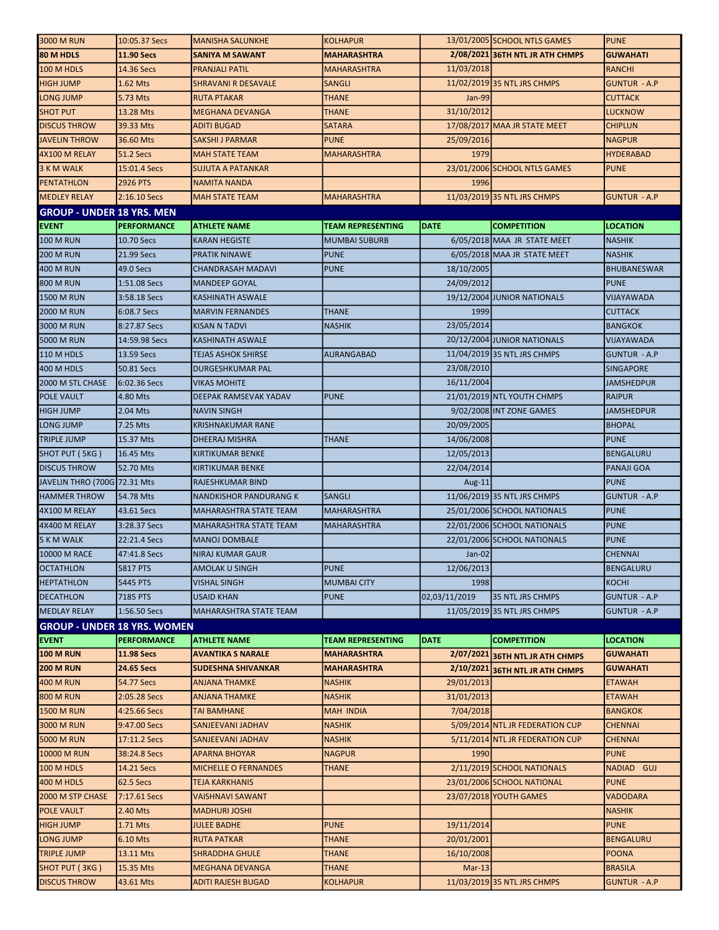| 3000 M RUN                         | 10:05.37 Secs      | <b>MANISHA SALUNKHE</b>       | <b>KOLHAPUR</b>          |               | 13/01/2005 SCHOOL NTLS GAMES    | <b>PUNE</b>         |
|------------------------------------|--------------------|-------------------------------|--------------------------|---------------|---------------------------------|---------------------|
| 80 M HDLS                          | <b>11.90 Secs</b>  | <b>SANIYA M SAWANT</b>        | <b>MAHARASHTRA</b>       |               | 2/08/2021 36TH NTL JR ATH CHMPS | <b>GUWAHATI</b>     |
| 100 M HDLS                         | 14.36 Secs         | PRANJALI PATIL                | <b>MAHARASHTRA</b>       | 11/03/2018    |                                 | <b>RANCHI</b>       |
| <b>HIGH JUMP</b>                   | 1.62 Mts           | SHRAVANI R DESAVALE           | <b>SANGLI</b>            |               | 11/02/2019 35 NTL JRS CHMPS     | <b>GUNTUR - A.P</b> |
| LONG JUMP                          | 5.73 Mts           | <b>RUTA PTAKAR</b>            | THANE                    | Jan-99        |                                 | <b>CUTTACK</b>      |
| <b>SHOT PUT</b>                    | 13.28 Mts          | <b>MEGHANA DEVANGA</b>        | THANE                    | 31/10/2012    |                                 | LUCKNOW             |
| <b>DISCUS THROW</b>                | 39.33 Mts          | ADITI BUGAD                   | <b>SATARA</b>            |               | 17/08/2017 MAA JR STATE MEET    | <b>CHIPLUN</b>      |
| <b>JAVELIN THROW</b>               | 36.60 Mts          | SAKSHI J PARMAR               | <b>PUNE</b>              | 25/09/2016    |                                 | <b>NAGPUR</b>       |
| 4X100 M RELAY                      | <b>51.2 Secs</b>   | <b>MAH STATE TEAM</b>         | <b>MAHARASHTRA</b>       | 1979          |                                 | <b>HYDERABAD</b>    |
| 3 K M WALK                         | 15:01.4 Secs       | <b>SUJUTA A PATANKAR</b>      |                          |               | 23/01/2006 SCHOOL NTLS GAMES    | <b>PUNE</b>         |
| <b>PENTATHLON</b>                  | <b>2926 PTS</b>    | NAMITA NANDA                  |                          | 1996          |                                 |                     |
| <b>MEDLEY RELAY</b>                | 2:16.10 Secs       | <b>MAH STATE TEAM</b>         | <b>MAHARASHTRA</b>       |               | 11/03/2019 35 NTL JRS CHMPS     | <b>GUNTUR - A.P</b> |
| <b>GROUP - UNDER 18 YRS. MEN</b>   |                    |                               |                          |               |                                 |                     |
| <b>EVENT</b>                       | <b>PERFORMANCE</b> | <b>ATHLETE NAME</b>           | <b>TEAM REPRESENTING</b> | <b>DATE</b>   | <b>COMPETITION</b>              | <b>LOCATION</b>     |
| <b>100 M RUN</b>                   | 10.70 Secs         | <b>KARAN HEGISTE</b>          | <b>MUMBAI SUBURB</b>     |               | 6/05/2018 MAA JR STATE MEET     | <b>NASHIK</b>       |
| <b>200 M RUN</b>                   | 21.99 Secs         | PRATIK NINAWE                 | <b>PUNE</b>              |               | 6/05/2018 MAA JR STATE MEET     | <b>NASHIK</b>       |
| 400 M RUN                          | 49.0 Secs          | <b>CHANDRASAH MADAVI</b>      | <b>PUNE</b>              | 18/10/2005    |                                 | <b>BHUBANESWAR</b>  |
| <b>800 M RUN</b>                   | 1:51.08 Secs       | <b>MANDEEP GOYAL</b>          |                          | 24/09/2012    |                                 | <b>PUNE</b>         |
| <b>1500 M RUN</b>                  | 3:58.18 Secs       | <b>KASHINATH ASWALE</b>       |                          |               | 19/12/2004 JUNIOR NATIONALS     | VIJAYAWADA          |
| <b>2000 M RUN</b>                  | 6:08.7 Secs        | <b>MARVIN FERNANDES</b>       | <b>THANE</b>             | 1999          |                                 | <b>CUTTACK</b>      |
| 3000 M RUN                         | 8:27.87 Secs       | <b>KISAN N TADVI</b>          | <b>NASHIK</b>            | 23/05/2014    |                                 | <b>BANGKOK</b>      |
| 5000 M RUN                         | 14:59.98 Secs      | <b>KASHINATH ASWALE</b>       |                          |               | 20/12/2004 JUNIOR NATIONALS     | VIJAYAWADA          |
| 110 M HDLS                         | 13.59 Secs         | <b>TEJAS ASHOK SHIRSE</b>     | <b>AURANGABAD</b>        |               | 11/04/2019 35 NTL JRS CHMPS     | <b>GUNTUR - A.P</b> |
| 400 M HDLS                         | 50.81 Secs         | <b>DURGESHKUMAR PAL</b>       |                          | 23/08/2010    |                                 | <b>SINGAPORE</b>    |
| 2000 M STL CHASE                   | 6:02.36 Secs       | <b>VIKAS MOHITE</b>           |                          | 16/11/2004    |                                 | <b>JAMSHEDPUR</b>   |
| POLE VAULT                         | 4.80 Mts           | DEEPAK RAMSEVAK YADAV         | <b>PUNE</b>              |               | 21/01/2019 NTL YOUTH CHMPS      | <b>RAIPUR</b>       |
| <b>HIGH JUMP</b>                   | 2.04 Mts           | <b>NAVIN SINGH</b>            |                          |               | 9/02/2008 INT ZONE GAMES        | <b>JAMSHEDPUR</b>   |
| LONG JUMP                          | 7.25 Mts           | <b>KRISHNAKUMAR RANE</b>      |                          | 20/09/2005    |                                 | <b>BHOPAL</b>       |
| TRIPLE JUMP                        | 15.37 Mts          | DHEERAJ MISHRA                | <b>THANE</b>             | 14/06/2008    |                                 | <b>PUNE</b>         |
| SHOT PUT (5KG)                     | 16.45 Mts          | <b>KIRTIKUMAR BENKE</b>       |                          | 12/05/2013    |                                 | <b>BENGALURU</b>    |
| <b>DISCUS THROW</b>                | 52.70 Mts          | KIRTIKUMAR BENKE              |                          | 22/04/2014    |                                 | PANAJI GOA          |
| JAVELIN THRO (700G 72.31 Mts       |                    | RAJESHKUMAR BIND              |                          | Aug-11        |                                 | <b>PUNE</b>         |
| <b>HAMMER THROW</b>                | 54.78 Mts          | <b>NANDKISHOR PANDURANG K</b> | SANGLI                   |               | 11/06/2019 35 NTL JRS CHMPS     | <b>GUNTUR - A.P</b> |
| 4X100 M RELAY                      | 43.61 Secs         | <b>MAHARASHTRA STATE TEAM</b> | <b>MAHARASHTRA</b>       |               | 25/01/2006 SCHOOL NATIONALS     | <b>PUNE</b>         |
| 4X400 M RELAY                      | 3:28.37 Secs       | <b>MAHARASHTRA STATE TEAM</b> | <b>MAHARASHTRA</b>       |               | 22/01/2006 SCHOOL NATIONALS     | <b>PUNE</b>         |
| <b>5 K M WALK</b>                  | 22:21.4 Secs       | <b>MANOJ DOMBALE</b>          |                          |               | 22/01/2006 SCHOOL NATIONALS     | <b>PUNE</b>         |
| 10000 M RACE                       | 47:41.8 Secs       | <b>NIRAJ KUMAR GAUR</b>       |                          | $Jan-02$      |                                 | <b>CHENNAI</b>      |
| <b>OCTATHLON</b>                   | <b>5817 PTS</b>    | <b>AMOLAK U SINGH</b>         | <b>PUNE</b>              | 12/06/2013    |                                 | <b>BENGALURU</b>    |
| <b>HEPTATHLON</b>                  | 5445 PTS           | <b>VISHAL SINGH</b>           | <b>MUMBAI CITY</b>       | 1998          |                                 | KOCHI               |
| <b>DECATHLON</b>                   | 7185 PTS           | <b>USAID KHAN</b>             | <b>PUNE</b>              | 02,03/11/2019 | 35 NTL JRS CHMPS                | <b>GUNTUR - A.P</b> |
| <b>MEDLAY RELAY</b>                | 1:56.50 Secs       | MAHARASHTRA STATE TEAM        |                          |               | 11/05/2019 35 NTL JRS CHMPS     | GUNTUR - A.P        |
| <b>GROUP - UNDER 18 YRS. WOMEN</b> |                    |                               |                          |               |                                 |                     |
| <b>EVENT</b>                       | <b>PERFORMANCE</b> | <b>ATHLETE NAME</b>           | <b>TEAM REPRESENTING</b> | <b>DATE</b>   | <b>COMPETITION</b>              | LOCATION            |
| <b>100 M RUN</b>                   | 11.98 Secs         | <b>AVANTIKA S NARALE</b>      | <b>MAHARASHTRA</b>       | 2/07/2021     | <b>36TH NTL JR ATH CHMPS</b>    | <b>GUWAHATI</b>     |
| <b>200 M RUN</b>                   | <b>24.65 Secs</b>  | SUDESHNA SHIVANKAR            | <b>MAHARASHTRA</b>       | 2/10/2021     | <b>36TH NTL JR ATH CHMPS</b>    | GUWAHATI            |
| 400 M RUN                          | 54.77 Secs         | ANJANA THAMKE                 | <b>NASHIK</b>            | 29/01/2013    |                                 | ETAWAH              |
| <b>800 M RUN</b>                   | 2:05.28 Secs       | ANJANA THAMKE                 | <b>NASHIK</b>            | 31/01/2013    |                                 | <b>ETAWAH</b>       |
| <b>1500 M RUN</b>                  | 4:25.66 Secs       | TAI BAMHANE                   | <b>MAH INDIA</b>         | 7/04/2018     |                                 | <b>BANGKOK</b>      |
| 3000 M RUN                         | 9:47.00 Secs       | SANJEEVANI JADHAV             | <b>NASHIK</b>            |               | 5/09/2014 NTL JR FEDERATION CUP | <b>CHENNAI</b>      |
| 5000 M RUN                         | 17:11.2 Secs       | SANJEEVANI JADHAV             | <b>NASHIK</b>            |               | 5/11/2014 NTL JR FEDERATION CUP | CHENNAI             |
| 10000 M RUN                        | 38:24.8 Secs       | <b>APARNA BHOYAR</b>          | <b>NAGPUR</b>            | 1990          |                                 | <b>PUNE</b>         |
| <b>100 M HDLS</b>                  | 14.21 Secs         | MICHELLE O FERNANDES          | THANE                    |               | 2/11/2019 SCHOOL NATIONALS      | NADIAD GUJ          |
| 400 M HDLS                         | <b>62.5 Secs</b>   | TEJA KARKHANIS                |                          |               | 23/01/2006 SCHOOL NATIONAL      | <b>PUNE</b>         |
| 2000 M STP CHASE                   | 7:17.61 Secs       | <b>VAISHNAVI SAWANT</b>       |                          |               | 23/07/2018 YOUTH GAMES          | VADODARA            |
| <b>POLE VAULT</b>                  | 2.40 Mts           | <b>MADHURI JOSHI</b>          |                          |               |                                 | <b>NASHIK</b>       |
| <b>HIGH JUMP</b>                   | 1.71 Mts           | <b>JULEE BADHE</b>            | <b>PUNE</b>              | 19/11/2014    |                                 | <b>PUNE</b>         |
| LONG JUMP                          | 6.10 Mts           | <b>RUTA PATKAR</b>            | <b>THANE</b>             | 20/01/2001    |                                 | <b>BENGALURU</b>    |
| <b>TRIPLE JUMP</b>                 |                    |                               |                          |               |                                 |                     |
|                                    | 13.11 Mts          | <b>SHRADDHA GHULE</b>         | <b>THANE</b>             | 16/10/2008    |                                 | <b>POONA</b>        |
| SHOT PUT (3KG)                     | 15.35 Mts          | <b>MEGHANA DEVANGA</b>        | <b>THANE</b>             | $Mar-13$      |                                 | <b>BRASILA</b>      |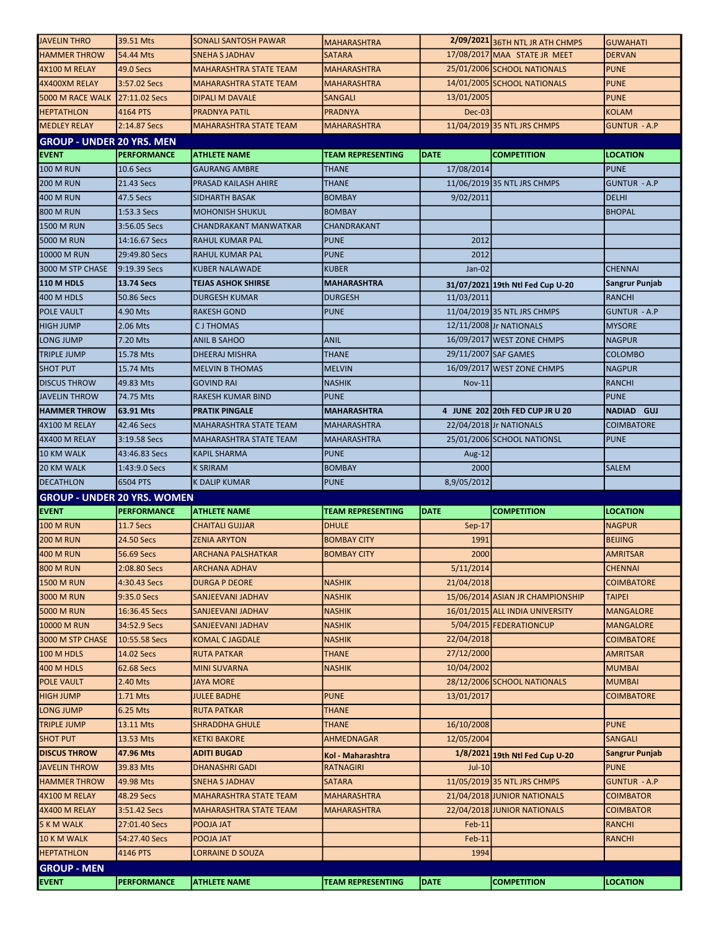| <b>JAVELIN THRO</b>                  | 39.51 Mts            | <b>SONALI SANTOSH PAWAR</b>   | <b>MAHARASHTRA</b>          |                      | 2/09/2021 36TH NTL JR ATH CHMPS  | <b>GUWAHATI</b>     |
|--------------------------------------|----------------------|-------------------------------|-----------------------------|----------------------|----------------------------------|---------------------|
| <b>HAMMER THROW</b>                  | 54.44 Mts            | <b>SNEHA S JADHAV</b>         | <b>SATARA</b>               |                      | 17/08/2017 MAA STATE JR MEET     | <b>DERVAN</b>       |
| 4X100 M RELAY                        | 49.0 Secs            | <b>MAHARASHTRA STATE TEAM</b> | <b>MAHARASHTRA</b>          |                      | 25/01/2006 SCHOOL NATIONALS      | <b>PUNE</b>         |
| 4X400XM RELAY                        | 3:57.02 Secs         | <b>MAHARASHTRA STATE TEAM</b> | <b>MAHARASHTRA</b>          |                      | 14/01/2005 SCHOOL NATIONALS      | <b>PUNE</b>         |
| 5000 M RACE WALK                     | 27:11.02 Secs        | <b>DIPALI M DAVALE</b>        | <b>SANGALI</b>              | 13/01/2005           |                                  | <b>PUNE</b>         |
| <b>HEPTATHLON</b>                    | 4164 PTS             | <b>PRADNYA PATIL</b>          | <b>PRADNYA</b>              | Dec-03               |                                  | <b>KOLAM</b>        |
| <b>MEDLEY RELAY</b>                  | 2:14.87 Secs         | <b>MAHARASHTRA STATE TEAM</b> | <b>MAHARASHTRA</b>          |                      | 11/04/2019 35 NTL JRS CHMPS      | <b>GUNTUR - A.P</b> |
| <b>GROUP - UNDER 20 YRS. MEN</b>     |                      |                               |                             |                      |                                  |                     |
| <b>EVENT</b>                         | <b>PERFORMANCE</b>   | <b>ATHLETE NAME</b>           | <b>TEAM REPRESENTING</b>    | <b>DATE</b>          | <b>COMPETITION</b>               | <b>LOCATION</b>     |
| <b>100 M RUN</b>                     | 10.6 Secs            | <b>GAURANG AMBRE</b>          | THANE                       | 17/08/2014           |                                  | <b>PUNE</b>         |
| <b>200 M RUN</b>                     | 21.43 Secs           | PRASAD KAILASH AHIRE          | THANE                       |                      | 11/06/2019 35 NTL JRS CHMPS      | <b>GUNTUR - A.P</b> |
| 400 M RUN                            | 47.5 Secs            | SIDHARTH BASAK                | <b>BOMBAY</b>               | 9/02/2011            |                                  | <b>DELHI</b>        |
| <b>800 M RUN</b>                     | 1:53.3 Secs          | <b>MOHONISH SHUKUL</b>        | <b>BOMBAY</b>               |                      |                                  | <b>BHOPAL</b>       |
| 1500 M RUN                           | 3:56.05 Secs         | CHANDRAKANT MANWATKAR         | CHANDRAKANT                 |                      |                                  |                     |
| 5000 M RUN                           | 14:16.67 Secs        | RAHUL KUMAR PAL               | <b>PUNE</b>                 | 2012                 |                                  |                     |
| 10000 M RUN                          | 29:49.80 Secs        | RAHUL KUMAR PAL               | PUNE                        | 2012                 |                                  |                     |
| 3000 M STP CHASE                     | 9:19.39 Secs         | <b>KUBER NALAWADE</b>         | KUBER                       | Jan-02               |                                  | <b>CHENNAI</b>      |
|                                      |                      | <b>TEJAS ASHOK SHIRSE</b>     |                             |                      |                                  |                     |
| 110 M HDLS                           | 13.74 Secs           |                               | <b>MAHARASHTRA</b>          |                      | 31/07/2021 19th Ntl Fed Cup U-20 | Sangrur Punjab      |
| 400 M HDLS                           | 50.86 Secs           | <b>DURGESH KUMAR</b>          | <b>DURGESH</b>              | 11/03/2011           |                                  | RANCHI              |
| <b>POLE VAULT</b>                    | 4.90 Mts             | RAKESH GOND                   | <b>PUNE</b>                 |                      | 11/04/2019 35 NTL JRS CHMPS      | <b>GUNTUR - A.P</b> |
| <b>HIGH JUMP</b>                     | 2.06 Mts             | <b>CJTHOMAS</b>               |                             |                      | 12/11/2008 Jr NATIONALS          | <b>MYSORE</b>       |
| LONG JUMP                            | 7.20 Mts             | ANIL B SAHOO                  | ANIL                        |                      | 16/09/2017 WEST ZONE CHMPS       | <b>NAGPUR</b>       |
| <b>TRIPLE JUMP</b>                   | 15.78 Mts            | <b>DHEERAJ MISHRA</b>         | <b>THANE</b>                | 29/11/2007 SAF GAMES |                                  | <b>COLOMBO</b>      |
| <b>SHOT PUT</b>                      | 15.74 Mts            | <b>MELVIN B THOMAS</b>        | <b>MELVIN</b>               |                      | 16/09/2017 WEST ZONE CHMPS       | <b>NAGPUR</b>       |
| <b>DISCUS THROW</b>                  | 49.83 Mts            | <b>GOVIND RAI</b>             | <b>NASHIK</b>               | <b>Nov-11</b>        |                                  | <b>RANCHI</b>       |
| <b>JAVELIN THROW</b>                 | 74.75 Mts            | <b>RAKESH KUMAR BIND</b>      | <b>PUNE</b>                 |                      |                                  | <b>PUNE</b>         |
| <b>HAMMER THROW</b>                  | 63.91 Mts            | <b>PRATIK PINGALE</b>         | <b>MAHARASHTRA</b>          |                      | 4 JUNE 202 20th FED CUP JR U 20  | NADIAD GUJ          |
| 4X100 M RELAY                        | 42.46 Secs           | <b>MAHARASHTRA STATE TEAM</b> | <b>MAHARASHTRA</b>          |                      | 22/04/2018 Jr NATIONALS          | <b>COIMBATORE</b>   |
| 4X400 M RELAY                        | 3:19.58 Secs         | <b>MAHARASHTRA STATE TEAM</b> | <b>MAHARASHTRA</b>          |                      | 25/01/2006 SCHOOL NATIONSL       | <b>PUNE</b>         |
| 10 KM WALK                           | 43:46.83 Secs        | <b>KAPIL SHARMA</b>           | <b>PUNE</b>                 | Aug-12               |                                  |                     |
|                                      | 1:43:9.0 Secs        | <b>K SRIRAM</b>               | <b>BOMBAY</b>               | 2000                 |                                  | <b>SALEM</b>        |
| <b>20 KM WALK</b>                    |                      |                               |                             |                      |                                  |                     |
| <b>DECATHLON</b>                     | 6504 PTS             | <b>K DALIP KUMAR</b>          | <b>PUNE</b>                 | 8,9/05/2012          |                                  |                     |
| <b>GROUP - UNDER 20 YRS. WOMEN</b>   |                      |                               |                             |                      |                                  |                     |
| <b>EVENT</b>                         | <b>PERFORMANCE</b>   | <b>ATHLETE NAME</b>           | <b>TEAM REPRESENTING</b>    | DATE                 | <b>COMPETITION</b>               | <b>LOCATION</b>     |
| <b>100 M RUN</b>                     | <b>11.7 Secs</b>     | <b>CHAITALI GUJJAR</b>        | <b>DHULE</b>                | $Sep-17$             |                                  | <b>NAGPUR</b>       |
| <b>200 M RUN</b>                     | 24.50 Secs           | <b>ZENIA ARYTON</b>           | <b>BOMBAY CITY</b>          | 1991                 |                                  | <b>BEIJING</b>      |
| <b>400 M RUN</b>                     | 56.69 Secs           | <b>ARCHANA PALSHATKAR</b>     | <b>BOMBAY CITY</b>          | 2000                 |                                  | <b>AMRITSAR</b>     |
| <b>800 M RUN</b>                     | 2:08.80 Secs         | <b>ARCHANA ADHAV</b>          |                             | 5/11/2014            |                                  | <b>CHENNAI</b>      |
| <b>1500 M RUN</b>                    | 4:30.43 Secs         | <b>DURGA P DEORE</b>          | <b>NASHIK</b>               | 21/04/2018           |                                  | <b>COIMBATORE</b>   |
| 3000 M RUN                           | 9:35.0 Secs          | SANJEEVANI JADHAV             | <b>NASHIK</b>               |                      | 15/06/2014 ASIAN JR CHAMPIONSHIP | <b>TAIPEI</b>       |
| <b>5000 M RUN</b>                    | 16:36.45 Secs        | SANJEEVANI JADHAV             | <b>NASHIK</b>               |                      | 16/01/2015 ALL INDIA UNIVERSITY  | <b>MANGALORE</b>    |
| 10000 M RUN                          | 34:52.9 Secs         | SANJEEVANI JADHAV             | <b>NASHIK</b>               |                      | 5/04/2015 FEDERATIONCUP          | <b>MANGALORE</b>    |
| 3000 M STP CHASE                     | 10:55.58 Secs        | <b>KOMAL C JAGDALE</b>        | <b>NASHIK</b>               | 22/04/2018           |                                  | <b>COIMBATORE</b>   |
| 100 M HDLS                           | 14.02 Secs           | <b>RUTA PATKAR</b>            | THANE                       | 27/12/2000           |                                  | <b>AMRITSAR</b>     |
|                                      | 62.68 Secs           | <b>MINI SUVARNA</b>           |                             | 10/04/2002           |                                  | <b>MUMBAI</b>       |
| 400 M HDLS                           | 2.40 Mts             | <b>JAYA MORE</b>              | <b>NASHIK</b>               |                      |                                  | <b>MUMBAI</b>       |
| <b>POLE VAULT</b>                    |                      | <b>JULEE BADHE</b>            |                             |                      | 28/12/2006 SCHOOL NATIONALS      |                     |
| <b>HIGH JUMP</b><br><b>LONG JUMP</b> | 1.71 Mts<br>6.25 Mts | <b>RUTA PATKAR</b>            | <b>PUNE</b><br><b>THANE</b> | 13/01/2017           |                                  | <b>COIMBATORE</b>   |
|                                      |                      |                               |                             |                      |                                  |                     |
| <b>TRIPLE JUMP</b>                   | 13.11 Mts            | <b>SHRADDHA GHULE</b>         | <b>THANE</b>                | 16/10/2008           |                                  | <b>PUNE</b>         |
| <b>SHOT PUT</b>                      | 13.53 Mts            | <b>KETKI BAKORE</b>           | AHMEDNAGAR                  | 12/05/2004           |                                  | <b>SANGALI</b>      |
| <b>DISCUS THROW</b>                  | 47.96 Mts            | <b>ADITI BUGAD</b>            | Kol - Maharashtra           |                      | 1/8/2021 19th Ntl Fed Cup U-20   | Sangrur Punjab      |
| <b>JAVELIN THROW</b>                 | 39.83 Mts            | <b>DHANASHRI GADI</b>         | <b>RATNAGIRI</b>            | Jul-10               |                                  | <b>PUNE</b>         |
| <b>HAMMER THROW</b>                  | 49.98 Mts            | SNEHA S JADHAV                | <b>SATARA</b>               |                      | 11/05/2019 35 NTL JRS CHMPS      | <b>GUNTUR - A.P</b> |
| 4X100 M RELAY                        | 48.29 Secs           | <b>MAHARASHTRA STATE TEAM</b> | <b>MAHARASHTRA</b>          |                      | 21/04/2018 JUNIOR NATIONALS      | COIMBATOR           |
| 4X400 M RELAY                        | 3:51.42 Secs         | MAHARASHTRA STATE TEAM        | MAHARASHTRA                 |                      | 22/04/2018 JUNIOR NATIONALS      | <b>COIMBATOR</b>    |
| 5 K M WALK                           | 27:01.40 Secs        | POOJA JAT                     |                             | $Feb-11$             |                                  | <b>RANCHI</b>       |
| 10 K M WALK                          | 54:27.40 Secs        | POOJA JAT                     |                             | $Feb-11$             |                                  | <b>RANCHI</b>       |
| <b>HEPTATHLON</b>                    | 4146 PTS             | <b>LORRAINE D SOUZA</b>       |                             | 1994                 |                                  |                     |
| <b>GROUP - MEN</b><br><b>EVENT</b>   | <b>PERFORMANCE</b>   | <b>ATHLETE NAME</b>           | TEAM REPRESENTING           | <b>DATE</b>          | <b>COMPETITION</b>               | <b>LOCATION</b>     |